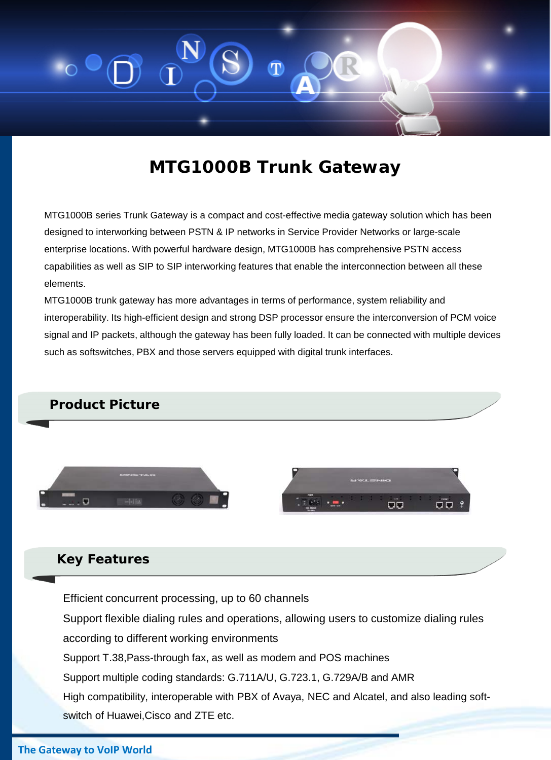

# **MTG1000B Trunk Gateway**

MTG1000B series Trunk Gateway is a compact and cost-effective media gateway solution which has been designed to interworking between PSTN & IP networks in Service Provider Networks or large-scale enterprise locations. With powerful hardware design, MTG1000B has comprehensive PSTN access capabilities as well as SIP to SIP interworking features that enable the interconnection between all these elements.

MTG1000B trunk gateway has more advantages in terms of performance, system reliability and interoperability. Its high-efficient design and strong DSP processor ensure the interconversion of PCM voice signal and IP packets, although the gateway has been fully loaded. It can be connected with multiple devices such as softswitches, PBX and those servers equipped with digital trunk interfaces.

### **Product Picture**





### **Key Features**

Efficient concurrent processing, up to 60 channels

Support flexible dialing rules and operations, allowing users to customize dialing rules according to different working environments

Support T.38,Pass-through fax, as well as modem and POS machines

Support multiple coding standards: G.711A/U, G.723.1, G.729A/B and AMR

High compatibility, interoperable with PBX of Avaya, NEC and Alcatel, and also leading softswitch of Huawei,Cisco and ZTE etc.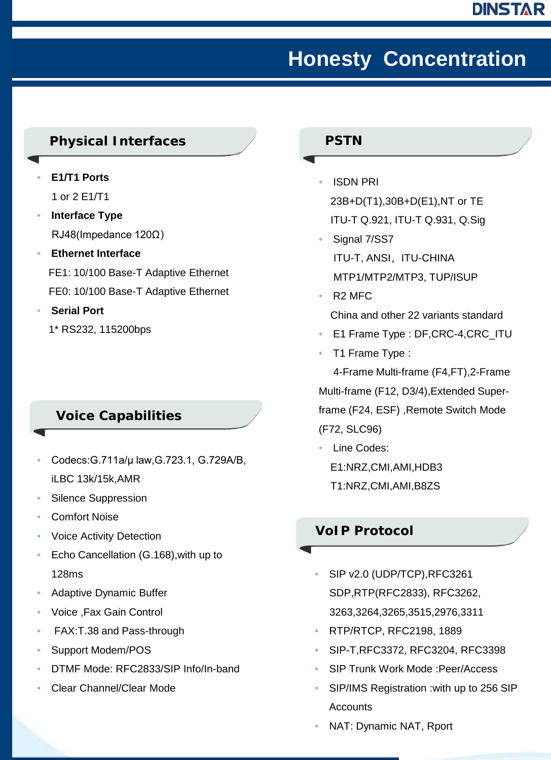# **Honesty Concentration**

### **Physical Interfaces**

- **E1/T1 Ports** 1 or 2 E1/T1
- **Interface Type**  RJ48(Impedance 120Ω)
- **Ethernet Interface**  FE1: 10/100 Base-T Adaptive Ethernet FE0: 10/100 Base-T Adaptive Ethernet
- **Serial Port** 
	- 1\* RS232, 115200bps

## **Voice Capabilities**

- Codecs:G.711a/μ law,G.723.1, G.729A/B, iLBC 13k/15k,AMR
- Silence Suppression
- Comfort Noise
- Voice Activity Detection
- Echo Cancellation (G.168),with up to 128ms
- Adaptive Dynamic Buffer
- Voice ,Fax Gain Control
- FAX:T.38 and Pass-through
- Support Modem/POS
- DTMF Mode: RFC2833/SIP Info/In-band
- Clear Channel/Clear Mode

#### **PSTN**

- ISDN PRI 23B+D(T1),30B+D(E1),NT or TE ITU-T Q.921, ITU-T Q.931, Q.Sig
- Signal 7/SS7 ITU-T, ANSI, ITU-CHINA MTP1/MTP2/MTP3, TUP/ISUP
- R2 MFC

#### China and other 22 variants standard

- E1 Frame Type : DF, CRC-4, CRC\_ITU
- T1 Frame Type :

4-Frame Multi-frame (F4,FT),2-Frame Multi-frame (F12, D3/4),Extended Superframe (F24, ESF) ,Remote Switch Mode (F72, SLC96)

• Line Codes: E1:NRZ,CMI,AMI,HDB3 T1:NRZ,CMI,AMI,B8ZS

### **VoIP Protocol**

- SIP v2.0 (UDP/TCP),RFC3261 SDP,RTP(RFC2833), RFC3262, 3263,3264,3265,3515,2976,3311
- RTP/RTCP, RFC2198, 1889
- SIP-T,RFC3372, RFC3204, RFC3398
- SIP Trunk Work Mode :Peer/Access
- SIP/IMS Registration :with up to 256 SIP Accounts
- NAT: Dynamic NAT, Rport